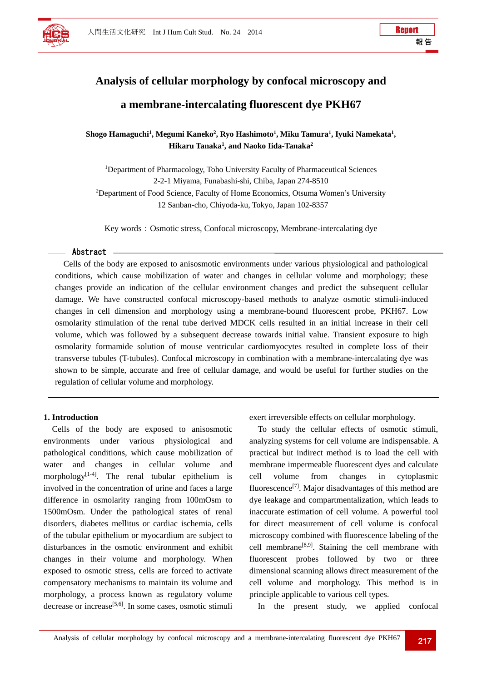

# **Analysis of cellular morphology by confocal microscopy and a membrane-intercalating fluorescent dye PKH67**

Shogo Hamaguchi<sup>1</sup>, Megumi Kaneko<sup>2</sup>, Ryo Hashimoto<sup>1</sup>, Miku Tamura<sup>1</sup>, Iyuki Namekata<sup>1</sup>, **Hikaru Tanaka1 , and Naoko Iida-Tanaka2**

<sup>1</sup>Department of Pharmacology, Toho University Faculty of Pharmaceutical Sciences 2-2-1 Miyama, Funabashi-shi, Chiba, Japan 274-8510 <sup>2</sup>Department of Food Science, Faculty of Home Economics, Otsuma Women's University 12 Sanban-cho, Chiyoda-ku, Tokyo, Japan 102-8357

Key words: Osmotic stress, Confocal microscopy, Membrane-intercalating dye

#### Abstract

Cells of the body are exposed to anisosmotic environments under various physiological and pathological conditions, which cause mobilization of water and changes in cellular volume and morphology; these changes provide an indication of the cellular environment changes and predict the subsequent cellular damage. We have constructed confocal microscopy-based methods to analyze osmotic stimuli-induced changes in cell dimension and morphology using a membrane-bound fluorescent probe, PKH67. Low osmolarity stimulation of the renal tube derived MDCK cells resulted in an initial increase in their cell volume, which was followed by a subsequent decrease towards initial value. Transient exposure to high osmolarity formamide solution of mouse ventricular cardiomyocytes resulted in complete loss of their transverse tubules (T-tubules). Confocal microscopy in combination with a membrane-intercalating dye was shown to be simple, accurate and free of cellular damage, and would be useful for further studies on the regulation of cellular volume and morphology.

#### **1. Introduction**

Cells of the body are exposed to anisosmotic environments under various physiological and pathological conditions, which cause mobilization of water and changes in cellular volume and morphology<sup>[1-4]</sup>. The renal tubular epithelium is involved in the concentration of urine and faces a large difference in osmolarity ranging from 100mOsm to 1500mOsm. Under the pathological states of renal disorders, diabetes mellitus or cardiac ischemia, cells of the tubular epithelium or myocardium are subject to disturbances in the osmotic environment and exhibit changes in their volume and morphology. When exposed to osmotic stress, cells are forced to activate compensatory mechanisms to maintain its volume and morphology, a process known as regulatory volume decrease or increase<sup>[5,6]</sup>. In some cases, osmotic stimuli

exert irreversible effects on cellular morphology.

To study the cellular effects of osmotic stimuli, analyzing systems for cell volume are indispensable. A practical but indirect method is to load the cell with membrane impermeable fluorescent dyes and calculate cell volume from changes in cytoplasmic fluorescence<sup>[7]</sup>. Major disadvantages of this method are dye leakage and compartmentalization, which leads to inaccurate estimation of cell volume. A powerful tool for direct measurement of cell volume is confocal microscopy combined with fluorescence labeling of the cell membrane<sup>[8,9]</sup>. Staining the cell membrane with fluorescent probes followed by two or three dimensional scanning allows direct measurement of the cell volume and morphology. This method is in principle applicable to various cell types.

In the present study, we applied confocal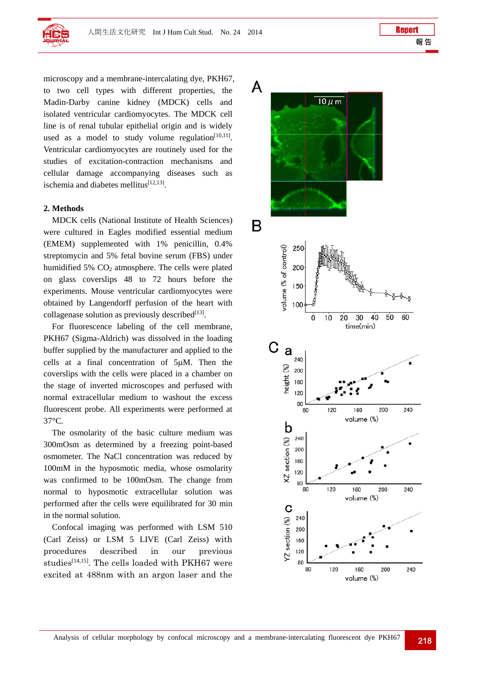

microscopy and a membrane-intercalating dye, PKH67, to two cell types with different properties, the Madin-Darby canine kidney (MDCK) cells and isolated ventricular cardiomyocytes. The MDCK cell line is of renal tubular epithelial origin and is widely used as a model to study volume regulation $[10,11]$ . Ventricular cardiomyocytes are routinely used for the studies of excitation-contraction mechanisms and cellular damage accompanying diseases such as ischemia and diabetes mellitus $[12,13]$ .

#### **2. Methods**

MDCK cells (National Institute of Health Sciences) were cultured in Eagles modified essential medium (EMEM) supplemented with 1% penicillin, 0.4% streptomycin and 5% fetal bovine serum (FBS) under humidified  $5\%$  CO<sub>2</sub> atmosphere. The cells were plated on glass coverslips 48 to 72 hours before the experiments. Mouse ventricular cardiomyocytes were obtained by Langendorff perfusion of the heart with collagenase solution as previously described $^{[13]}$ .

For fluorescence labeling of the cell membrane, PKH67 (Sigma-Aldrich) was dissolved in the loading buffer supplied by the manufacturer and applied to the cells at a final concentration of 5µM. Then the coverslips with the cells were placed in a chamber on the stage of inverted microscopes and perfused with normal extracellular medium to washout the excess fluorescent probe. All experiments were performed at 37°C.

The osmolarity of the basic culture medium was 300mOsm as determined by a freezing point-based osmometer. The NaCl concentration was reduced by 100mM in the hyposmotic media, whose osmolarity was confirmed to be 100mOsm. The change from normal to hyposmotic extracellular solution was performed after the cells were equilibrated for 30 min in the normal solution.

Confocal imaging was performed with LSM 510 (Carl Zeiss) or LSM 5 LIVE (Carl Zeiss) with procedures described in our previous studies<sup>[14,15]</sup>. The cells loaded with PKH67 were excited at 488nm with an argon laser and the

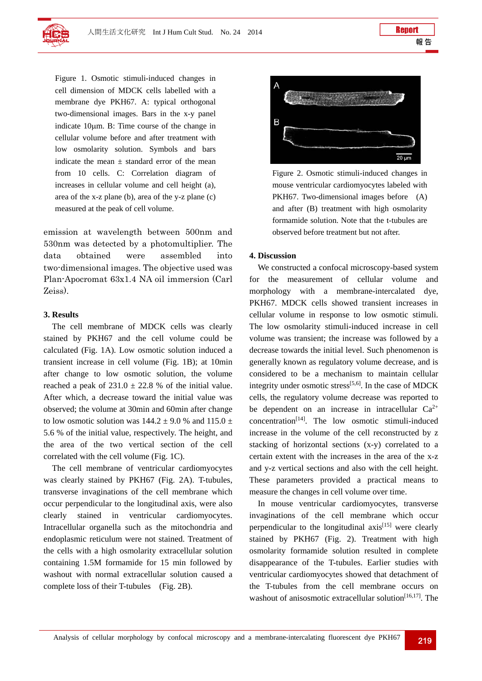

Figure 1. Osmotic stimuli-induced changes in cell dimension of MDCK cells labelled with a membrane dye PKH67. A: typical orthogonal two-dimensional images. Bars in the x-y panel indicate  $10\mu$ m. B: Time course of the change in cellular volume before and after treatment with low osmolarity solution. Symbols and bars indicate the mean  $\pm$  standard error of the mean from 10 cells. C: Correlation diagram of increases in cellular volume and cell height (a), area of the x-z plane (b), area of the y-z plane (c) measured at the peak of cell volume.

emission at wavelength between 500nm and 530nm was detected by a photomultiplier. The data obtained were assembled into two-dimensional images. The objective used was Plan-Apocromat 63x1.4 NA oil immersion (Carl Zeiss).

#### **3. Results**

The cell membrane of MDCK cells was clearly stained by PKH67 and the cell volume could be calculated (Fig. 1A). Low osmotic solution induced a transient increase in cell volume (Fig. 1B); at 10min after change to low osmotic solution, the volume reached a peak of  $231.0 \pm 22.8$  % of the initial value. After which, a decrease toward the initial value was observed; the volume at 30min and 60min after change to low osmotic solution was  $144.2 \pm 9.0$  % and  $115.0 \pm 1.0$ 5.6 % of the initial value, respectively. The height, and the area of the two vertical section of the cell correlated with the cell volume (Fig. 1C).

The cell membrane of ventricular cardiomyocytes was clearly stained by PKH67 (Fig. 2A). T-tubules, transverse invaginations of the cell membrane which occur perpendicular to the longitudinal axis, were also clearly stained in ventricular cardiomyocytes. Intracellular organella such as the mitochondria and endoplasmic reticulum were not stained. Treatment of the cells with a high osmolarity extracellular solution containing 1.5M formamide for 15 min followed by washout with normal extracellular solution caused a complete loss of their T-tubules (Fig. 2B).



Figure 2. Osmotic stimuli-induced changes in mouse ventricular cardiomyocytes labeled with PKH67. Two-dimensional images before (A) and after (B) treatment with high osmolarity formamide solution. Note that the t-tubules are observed before treatment but not after.

#### **4. Discussion**

We constructed a confocal microscopy-based system the measurement of cellular volume and morphology with a membrane-intercalated dye, PKH67. MDCK cells showed transient increases in cellular volume in response to low osmotic stimuli. The low osmolarity stimuli-induced increase in cell volume was transient; the increase was followed by a decrease towards the initial level. Such phenomenon is generally known as regulatory volume decrease, and is considered to be a mechanism to maintain cellular integrity under osmotic stress<sup>[5,6]</sup>. In the case of MDCK cells, the regulatory volume decrease was reported to be dependent on an increase in intracellular  $Ca^{2+}$ concentration[14]. The low osmotic stimuli-induced increase in the volume of the cell reconstructed by z stacking of horizontal sections (x-y) correlated to a certain extent with the increases in the area of the x-z and y-z vertical sections and also with the cell height. These parameters provided a practical means to measure the changes in cell volume over time.

In mouse ventricular cardiomyocytes, transverse invaginations of the cell membrane which occur perpendicular to the longitudinal  $axis^{[15]}$  were clearly stained by PKH67 (Fig. 2). Treatment with high osmolarity formamide solution resulted in complete disappearance of the T-tubules. Earlier studies with ventricular cardiomyocytes showed that detachment of the T-tubules from the cell membrane occurs on washout of anisosmotic extracellular solution $[16,17]$ . The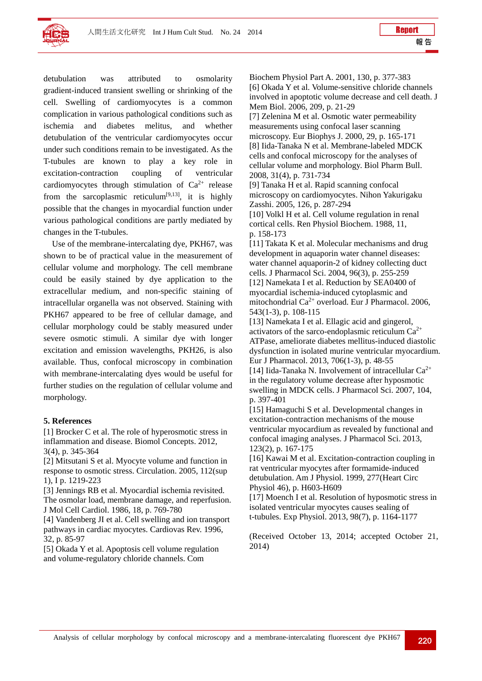

detubulation was attributed to osmolarity gradient-induced transient swelling or shrinking of the cell. Swelling of cardiomyocytes is a common complication in various pathological conditions such as ischemia and diabetes melitus, and whether detubulation of the ventricular cardiomyocytes occur under such conditions remain to be investigated. As the T-tubules are known to play a key role in excitation-contraction coupling of ventricular cardiomyocytes through stimulation of  $Ca^{2+}$  release from the sarcoplasmic reticulum<sup>[9,13]</sup>, it is highly possible that the changes in myocardial function under various pathological conditions are partly mediated by changes in the T-tubules.

Use of the membrane-intercalating dye, PKH67, was shown to be of practical value in the measurement of cellular volume and morphology. The cell membrane could be easily stained by dye application to the extracellular medium, and non-specific staining of intracellular organella was not observed. Staining with PKH67 appeared to be free of cellular damage, and cellular morphology could be stably measured under severe osmotic stimuli. A similar dye with longer excitation and emission wavelengths, PKH26, is also available. Thus, confocal microscopy in combination with membrane-intercalating dyes would be useful for further studies on the regulation of cellular volume and morphology.

### **5. References**

[1] Brocker C et al. The role of hyperosmotic stress in inflammation and disease. Biomol Concepts. 2012, 3(4), p. 345-364

[2] Mitsutani S et al. Myocyte volume and function in response to osmotic stress. Circulation. 2005, 112(sup 1), I p. 1219-223

[3] Jennings RB et al. Myocardial ischemia revisited. The osmolar load, membrane damage, and reperfusion. J Mol Cell Cardiol. 1986, 18, p. 769-780

[4] Vandenberg JI et al. Cell swelling and ion transport pathways in cardiac myocytes. Cardiovas Rev. 1996, 32, p. 85-97

[5] Okada Y et al. Apoptosis cell volume regulation and volume-regulatory chloride channels. Com

Biochem Physiol Part A. 2001, 130, p. 377-383 [6] Okada Y et al. Volume-sensitive chloride channels involved in apoptotic volume decrease and cell death. J Mem Biol. 2006, 209, p. 21-29 [7] Zelenina M et al. Osmotic water permeability

measurements using confocal laser scanning microscopy. Eur Biophys J. 2000, 29, p. 165-171 [8] Iida-Tanaka N et al. Membrane-labeled MDCK cells and confocal microscopy for the analyses of cellular volume and morphology. Biol Pharm Bull. 2008, 31(4), p. 731-734

[9] Tanaka H et al. Rapid scanning confocal microscopy on cardiomyocytes. Nihon Yakurigaku Zasshi. 2005, 126, p. 287-294

[10] Volkl H et al. Cell volume regulation in renal cortical cells. Ren Physiol Biochem. 1988, 11, p. 158-173

[11] Takata K et al. Molecular mechanisms and drug development in aquaporin water channel diseases: water channel aquaporin-2 of kidney collecting duct cells. J Pharmacol Sci. 2004, 96(3), p. 255-259 [12] Namekata I et al. Reduction by SEA0400 of myocardial ischemia-induced cytoplasmic and mitochondrial Ca<sup>2+</sup> overload. Eur J Pharmacol. 2006, 543(1-3), p. 108-115

[13] Namekata I et al. Ellagic acid and gingerol, activators of the sarco-endoplasmic reticulum  $Ca^{2+}$ ATPase, ameliorate diabetes mellitus-induced diastolic dysfunction in isolated murine ventricular myocardium. Eur J Pharmacol. 2013, 706(1-3), p. 48-55 [14] Iida-Tanaka N. Involvement of intracellular  $Ca^{2+}$ in the regulatory volume decrease after hyposmotic swelling in MDCK cells. J Pharmacol Sci. 2007, 104,

p. 397-401

[15] Hamaguchi S et al. Developmental changes in excitation-contraction mechanisms of the mouse ventricular myocardium as revealed by functional and confocal imaging analyses. J Pharmacol Sci. 2013, 123(2), p. 167-175

[16] Kawai M et al. Excitation-contraction coupling in rat ventricular myocytes after formamide-induced detubulation. Am J Physiol. 1999, 277(Heart Circ Physiol 46), p. H603-H609

[17] Moench I et al. Resolution of hyposmotic stress in isolated ventricular myocytes causes sealing of t-tubules. Exp Physiol. 2013, 98(7), p. 1164-1177

(Received October 13, 2014; accepted October 21, 2014)